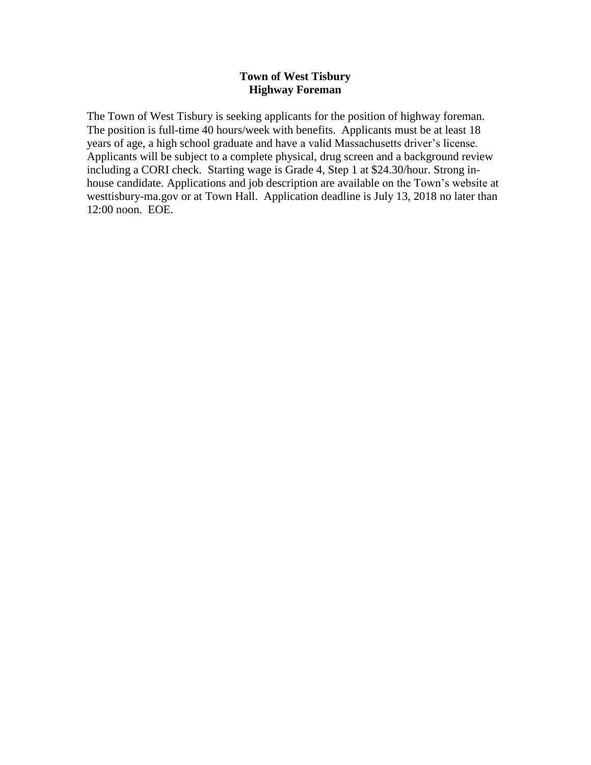#### **Town of West Tisbury Highway Foreman**

The Town of West Tisbury is seeking applicants for the position of highway foreman. The position is full-time 40 hours/week with benefits. Applicants must be at least 18 years of age, a high school graduate and have a valid Massachusetts driver's license. Applicants will be subject to a complete physical, drug screen and a background review including a CORI check. Starting wage is Grade 4, Step 1 at \$24.30/hour. Strong inhouse candidate. Applications and job description are available on the Town's website at westtisbury-ma.gov or at Town Hall. Application deadline is July 13, 2018 no later than 12:00 noon. EOE.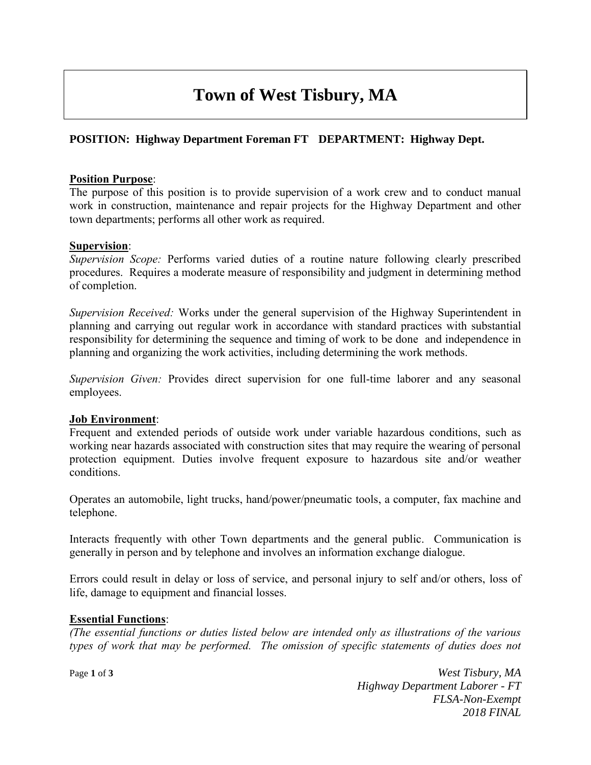# **Town of West Tisbury, MA**

# **POSITION: Highway Department Foreman FT DEPARTMENT: Highway Dept.**

#### **Position Purpose**:

The purpose of this position is to provide supervision of a work crew and to conduct manual work in construction, maintenance and repair projects for the Highway Department and other town departments; performs all other work as required.

#### **Supervision**:

*Supervision Scope:* Performs varied duties of a routine nature following clearly prescribed procedures. Requires a moderate measure of responsibility and judgment in determining method of completion.

*Supervision Received:* Works under the general supervision of the Highway Superintendent in planning and carrying out regular work in accordance with standard practices with substantial responsibility for determining the sequence and timing of work to be done and independence in planning and organizing the work activities, including determining the work methods.

*Supervision Given:* Provides direct supervision for one full-time laborer and any seasonal employees.

#### **Job Environment**:

Frequent and extended periods of outside work under variable hazardous conditions, such as working near hazards associated with construction sites that may require the wearing of personal protection equipment. Duties involve frequent exposure to hazardous site and/or weather conditions.

Operates an automobile, light trucks, hand/power/pneumatic tools, a computer, fax machine and telephone.

Interacts frequently with other Town departments and the general public. Communication is generally in person and by telephone and involves an information exchange dialogue.

Errors could result in delay or loss of service, and personal injury to self and/or others, loss of life, damage to equipment and financial losses.

## **Essential Functions**:

*(The essential functions or duties listed below are intended only as illustrations of the various types of work that may be performed. The omission of specific statements of duties does not* 

Page **1** of **3** *West Tisbury, MA Highway Department Laborer - FT FLSA-Non-Exempt 2018 FINAL*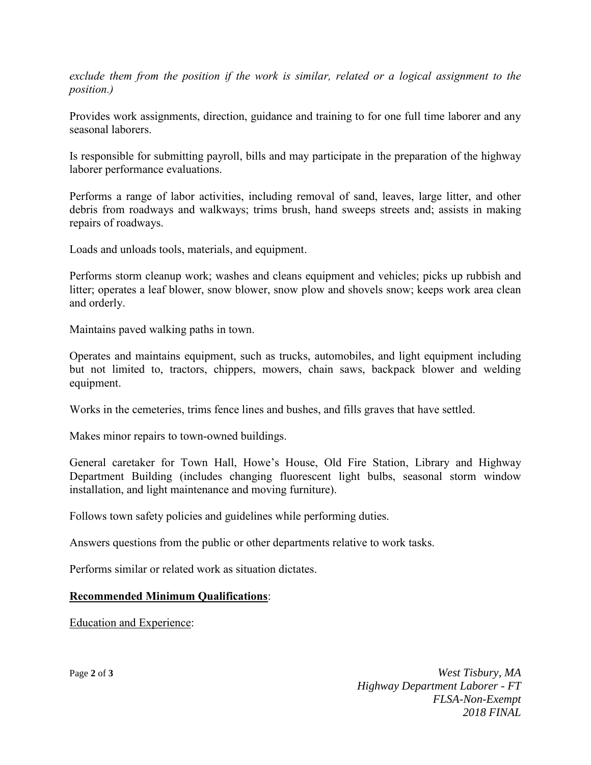*exclude them from the position if the work is similar, related or a logical assignment to the position.)*

Provides work assignments, direction, guidance and training to for one full time laborer and any seasonal laborers.

Is responsible for submitting payroll, bills and may participate in the preparation of the highway laborer performance evaluations.

Performs a range of labor activities, including removal of sand, leaves, large litter, and other debris from roadways and walkways; trims brush, hand sweeps streets and; assists in making repairs of roadways.

Loads and unloads tools, materials, and equipment.

Performs storm cleanup work; washes and cleans equipment and vehicles; picks up rubbish and litter; operates a leaf blower, snow blower, snow plow and shovels snow; keeps work area clean and orderly.

Maintains paved walking paths in town.

Operates and maintains equipment, such as trucks, automobiles, and light equipment including but not limited to, tractors, chippers, mowers, chain saws, backpack blower and welding equipment.

Works in the cemeteries, trims fence lines and bushes, and fills graves that have settled.

Makes minor repairs to town-owned buildings.

General caretaker for Town Hall, Howe's House, Old Fire Station, Library and Highway Department Building (includes changing fluorescent light bulbs, seasonal storm window installation, and light maintenance and moving furniture).

Follows town safety policies and guidelines while performing duties.

Answers questions from the public or other departments relative to work tasks.

Performs similar or related work as situation dictates.

## **Recommended Minimum Qualifications**:

Education and Experience:

Page **2** of **3** *West Tisbury, MA Highway Department Laborer - FT FLSA-Non-Exempt 2018 FINAL*